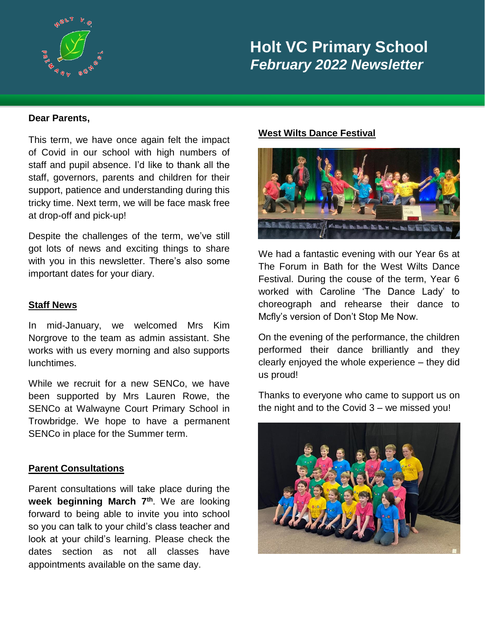

# **Holt VC Primary School**  *February 2022 Newsletter*

#### **Dear Parents,**

This term, we have once again felt the impact of Covid in our school with high numbers of staff and pupil absence. I'd like to thank all the staff, governors, parents and children for their support, patience and understanding during this tricky time. Next term, we will be face mask free at drop-off and pick-up!

Despite the challenges of the term, we've still got lots of news and exciting things to share with you in this newsletter. There's also some important dates for your diary.

#### **Staff News**

In mid-January, we welcomed Mrs Kim Norgrove to the team as admin assistant. She works with us every morning and also supports lunchtimes.

While we recruit for a new SENCo, we have been supported by Mrs Lauren Rowe, the SENCo at Walwayne Court Primary School in Trowbridge. We hope to have a permanent SENCo in place for the Summer term.

### **Parent Consultations**

Parent consultations will take place during the **week beginning March 7th**. We are looking forward to being able to invite you into school so you can talk to your child's class teacher and look at your child's learning. Please check the dates section as not all classes have appointments available on the same day.

#### **West Wilts Dance Festival**



We had a fantastic evening with our Year 6s at The Forum in Bath for the West Wilts Dance Festival. During the couse of the term, Year 6 worked with Caroline 'The Dance Lady' to choreograph and rehearse their dance to Mcfly's version of Don't Stop Me Now.

On the evening of the performance, the children performed their dance brilliantly and they clearly enjoyed the whole experience – they did us proud!

Thanks to everyone who came to support us on the night and to the Covid 3 – we missed you!

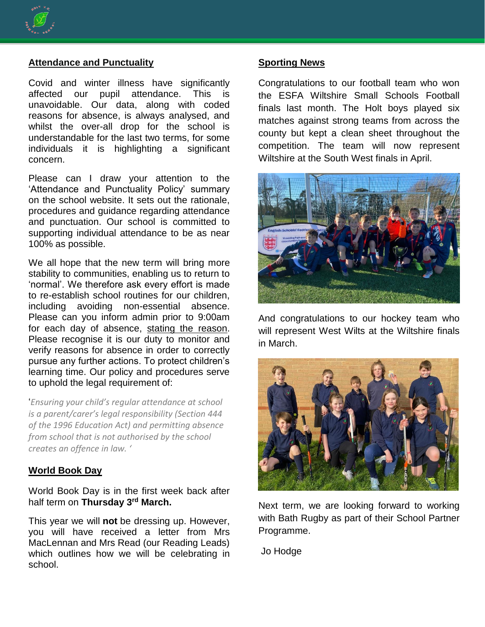

#### **Attendance and Punctuality**

Covid and winter illness have significantly affected our pupil attendance. This is unavoidable. Our data, along with coded reasons for absence, is always analysed, and whilst the over-all drop for the school is understandable for the last two terms, for some individuals it is highlighting a significant concern.

Please can I draw your attention to the 'Attendance and Punctuality Policy' summary on the school website. It sets out the rationale, procedures and guidance regarding attendance and punctuation. Our school is committed to supporting individual attendance to be as near 100% as possible.

We all hope that the new term will bring more stability to communities, enabling us to return to 'normal'. We therefore ask every effort is made to re-establish school routines for our children, including avoiding non-essential absence. Please can you inform admin prior to 9:00am for each day of absence, stating the reason. Please recognise it is our duty to monitor and verify reasons for absence in order to correctly pursue any further actions. To protect children's learning time. Our policy and procedures serve to uphold the legal requirement of:

'*Ensuring your child's regular attendance at school is a parent/carer's legal responsibility (Section 444 of the 1996 Education Act) and permitting absence from school that is not authorised by the school creates an offence in law. '*

#### **World Book Day**

World Book Day is in the first week back after half term on **Thursday 3rd March.**

This year we will **not** be dressing up. However, you will have received a letter from Mrs MacLennan and Mrs Read (our Reading Leads) which outlines how we will be celebrating in school.

#### **Sporting News**

Congratulations to our football team who won the ESFA Wiltshire Small Schools Football finals last month. The Holt boys played six matches against strong teams from across the county but kept a clean sheet throughout the competition. The team will now represent Wiltshire at the South West finals in April.



And congratulations to our hockey team who will represent West Wilts at the Wiltshire finals in March.



Next term, we are looking forward to working with Bath Rugby as part of their School Partner Programme.

Jo Hodge